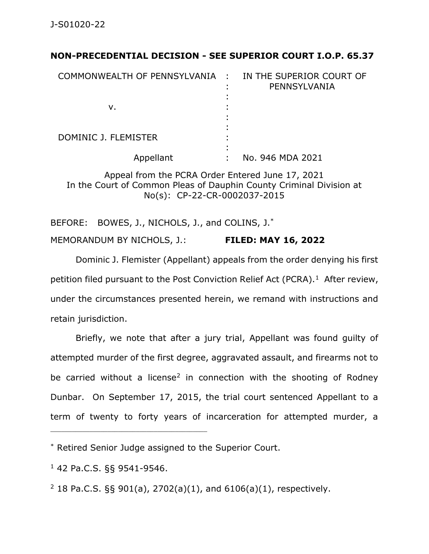## **NON-PRECEDENTIAL DECISION - SEE SUPERIOR COURT I.O.P. 65.37**

| COMMONWEALTH OF PENNSYLVANIA : | IN THE SUPERIOR COURT OF<br>PENNSYLVANIA |
|--------------------------------|------------------------------------------|
| v.                             |                                          |
| DOMINIC J. FLEMISTER           |                                          |
| Appellant                      | No. 946 MDA 2021                         |

Appeal from the PCRA Order Entered June 17, 2021 In the Court of Common Pleas of Dauphin County Criminal Division at No(s): CP-22-CR-0002037-2015

BEFORE: BOWES, J., NICHOLS, J., and COLINS, J.\* MEMORANDUM BY NICHOLS, J.: **FILED: MAY 16, 2022**

Dominic J. Flemister (Appellant) appeals from the order denying his first petition filed pursuant to the Post Conviction Relief Act (PCRA).<sup>1</sup> After review, under the circumstances presented herein, we remand with instructions and retain jurisdiction.

Briefly, we note that after a jury trial, Appellant was found guilty of attempted murder of the first degree, aggravated assault, and firearms not to be carried without a license<sup>2</sup> in connection with the shooting of Rodney Dunbar. On September 17, 2015, the trial court sentenced Appellant to a term of twenty to forty years of incarceration for attempted murder, a

\* Retired Senior Judge assigned to the Superior Court.

<sup>1</sup> 42 Pa.C.S. §§ 9541-9546.

 $2$  18 Pa.C.S. §§ 901(a), 2702(a)(1), and 6106(a)(1), respectively.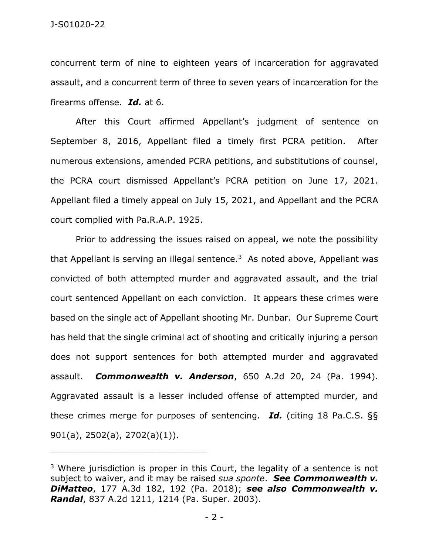concurrent term of nine to eighteen years of incarceration for aggravated assault, and a concurrent term of three to seven years of incarceration for the firearms offense. *Id.* at 6.

After this Court affirmed Appellant's judgment of sentence on September 8, 2016, Appellant filed a timely first PCRA petition. After numerous extensions, amended PCRA petitions, and substitutions of counsel, the PCRA court dismissed Appellant's PCRA petition on June 17, 2021. Appellant filed a timely appeal on July 15, 2021, and Appellant and the PCRA court complied with Pa.R.A.P. 1925.

Prior to addressing the issues raised on appeal, we note the possibility that Appellant is serving an illegal sentence.<sup>3</sup> As noted above, Appellant was convicted of both attempted murder and aggravated assault, and the trial court sentenced Appellant on each conviction. It appears these crimes were based on the single act of Appellant shooting Mr. Dunbar. Our Supreme Court has held that the single criminal act of shooting and critically injuring a person does not support sentences for both attempted murder and aggravated assault. *Commonwealth v. Anderson*, 650 A.2d 20, 24 (Pa. 1994). Aggravated assault is a lesser included offense of attempted murder, and these crimes merge for purposes of sentencing. *Id.* (citing 18 Pa.C.S. §§ 901(a), 2502(a), 2702(a)(1)).

\_\_\_\_\_\_\_\_\_\_\_\_\_\_\_\_\_\_\_\_\_\_\_\_\_\_\_\_\_\_\_\_\_\_\_\_\_\_\_\_\_\_\_\_

 $3$  Where jurisdiction is proper in this Court, the legality of a sentence is not subject to waiver, and it may be raised *sua sponte*. *See Commonwealth v. DiMatteo*, 177 A.3d 182, 192 (Pa. 2018); *see also Commonwealth v. Randal*, 837 A.2d 1211, 1214 (Pa. Super. 2003).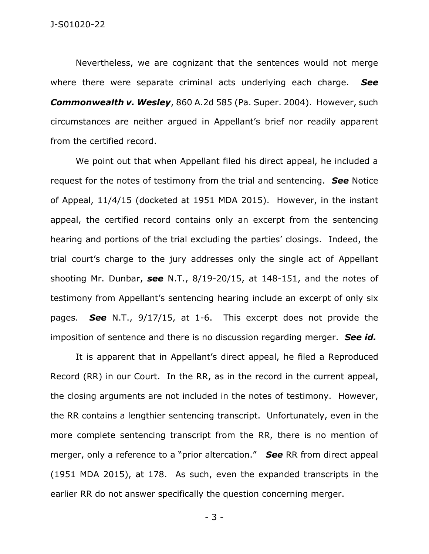Nevertheless, we are cognizant that the sentences would not merge where there were separate criminal acts underlying each charge. *See Commonwealth v. Wesley*, 860 A.2d 585 (Pa. Super. 2004). However, such circumstances are neither argued in Appellant's brief nor readily apparent from the certified record.

We point out that when Appellant filed his direct appeal, he included a request for the notes of testimony from the trial and sentencing. *See* Notice of Appeal, 11/4/15 (docketed at 1951 MDA 2015). However, in the instant appeal, the certified record contains only an excerpt from the sentencing hearing and portions of the trial excluding the parties' closings. Indeed, the trial court's charge to the jury addresses only the single act of Appellant shooting Mr. Dunbar, *see* N.T., 8/19-20/15, at 148-151, and the notes of testimony from Appellant's sentencing hearing include an excerpt of only six pages. *See* N.T., 9/17/15, at 1-6. This excerpt does not provide the imposition of sentence and there is no discussion regarding merger. *See id.*

It is apparent that in Appellant's direct appeal, he filed a Reproduced Record (RR) in our Court. In the RR, as in the record in the current appeal, the closing arguments are not included in the notes of testimony. However, the RR contains a lengthier sentencing transcript. Unfortunately, even in the more complete sentencing transcript from the RR, there is no mention of merger, only a reference to a "prior altercation." *See* RR from direct appeal (1951 MDA 2015), at 178. As such, even the expanded transcripts in the earlier RR do not answer specifically the question concerning merger.

- 3 -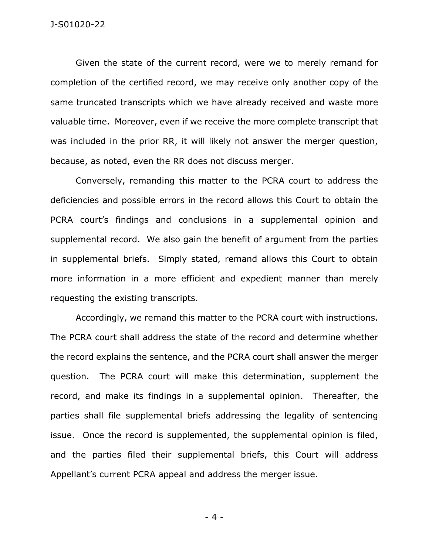Given the state of the current record, were we to merely remand for completion of the certified record, we may receive only another copy of the same truncated transcripts which we have already received and waste more valuable time. Moreover, even if we receive the more complete transcript that was included in the prior RR, it will likely not answer the merger question, because, as noted, even the RR does not discuss merger.

Conversely, remanding this matter to the PCRA court to address the deficiencies and possible errors in the record allows this Court to obtain the PCRA court's findings and conclusions in a supplemental opinion and supplemental record. We also gain the benefit of argument from the parties in supplemental briefs. Simply stated, remand allows this Court to obtain more information in a more efficient and expedient manner than merely requesting the existing transcripts.

Accordingly, we remand this matter to the PCRA court with instructions. The PCRA court shall address the state of the record and determine whether the record explains the sentence, and the PCRA court shall answer the merger question. The PCRA court will make this determination, supplement the record, and make its findings in a supplemental opinion. Thereafter, the parties shall file supplemental briefs addressing the legality of sentencing issue. Once the record is supplemented, the supplemental opinion is filed, and the parties filed their supplemental briefs, this Court will address Appellant's current PCRA appeal and address the merger issue.

- 4 -